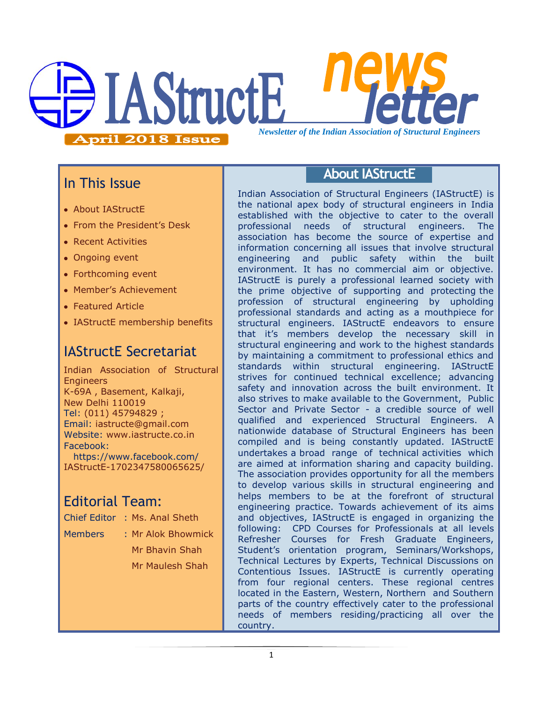

## In This Issue

- About IAStructE
- From the President's Desk
- Recent Activities
- Ongoing event
- Forthcoming event
- Member"s Achievement
- Featured Article
- IAStructE membership benefits

# IAStructE Secretariat

Indian Association of Structural **Engineers** K-69A , Basement, Kalkaji, New Delhi 110019 Tel: (011) 45794829 ; Email: iastructe@gmail.com Website: [www.iastructe.co.in](http://www.iastructe.co.in/) Facebook: [https://www.facebook.com/](https://www.facebook.com/%20IAStructE-1702347580065625/) 

[IAStructE-1702347580065625/](https://www.facebook.com/%20IAStructE-1702347580065625/)

# Editorial Team:

- Chief Editor : Ms. Anal Sheth
- 
- Members : Mr Alok Bhowmick
	- Mr Bhavin Shah Mr Maulesh Shah

## **About IAStructE**

Indian Association of Structural Engineers (IAStructE) is the national apex body of structural engineers in India established with the objective to cater to the overall professional needs of structural engineers. The association has become the source of expertise and information concerning all issues that involve structural engineering and public safety within the built environment. It has no commercial aim or objective. IAStructE is purely a professional learned society with the prime objective of supporting and protecting the profession of structural engineering by upholding professional standards and acting as a mouthpiece for structural engineers. IAStructE endeavors to ensure that it"s members develop the necessary skill in structural engineering and work to the highest standards by maintaining a commitment to professional ethics and standards within structural engineering. IAStructE strives for continued technical excellence; advancing safety and innovation across the built environment. It also strives to make available to the Government, Public Sector and Private Sector - a credible source of well qualified and experienced Structural Engineers. A nationwide database of Structural Engineers has been compiled and is being constantly updated. IAStructE undertakes a broad range of technical activities which are aimed at information sharing and capacity building. The association provides opportunity for all the members to develop various skills in structural engineering and helps members to be at the forefront of structural engineering practice. Towards achievement of its aims and objectives, IAStructE is engaged in organizing the following: CPD Courses for Professionals at all levels Refresher Courses for Fresh Graduate Engineers, Student"s orientation program, Seminars/Workshops, Technical Lectures by Experts, Technical Discussions on Contentious Issues. IAStructE is currently operating from four regional centers. These regional centres located in the Eastern, Western, Northern and Southern parts of the country effectively cater to the professional needs of members residing/practicing all over the country.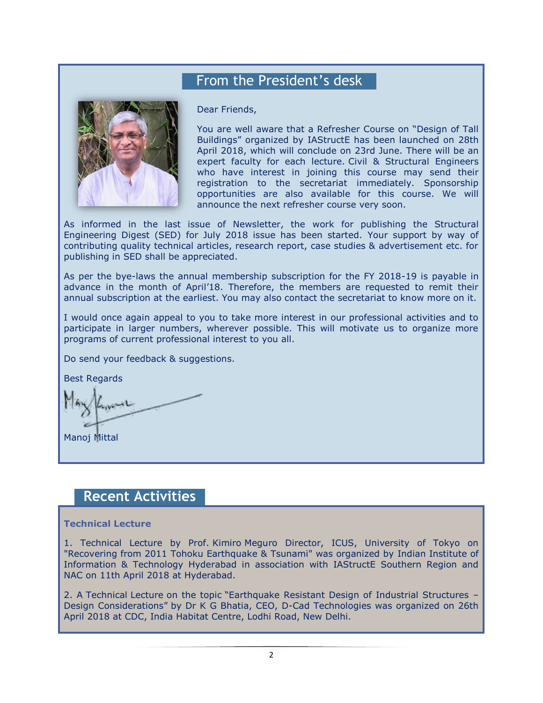## From the President's desk



Dear Friends,

You are well aware that a Refresher Course on "Design of Tall Buildings" organized by IAStructE has been launched on 28th April 2018, which will conclude on 23rd June. There will be an expert faculty for each lecture. Civil & Structural Engineers who have interest in joining this course may send their registration to the secretariat immediately. Sponsorship opportunities are also available for this course. We will announce the next refresher course very soon.

As informed in the last issue of Newsletter, the work for publishing the Structural Engineering Digest (SED) for July 2018 issue has been started. Your support by way of contributing quality technical articles, research report, case studies & advertisement etc. for publishing in SED shall be appreciated.

As per the bye-laws the annual membership subscription for the FY 2018-19 is payable in advance in the month of April"18. Therefore, the members are requested to remit their annual subscription at the earliest. You may also contact the secretariat to know more on it.

I would once again appeal to you to take more interest in our professional activities and to participate in larger numbers, wherever possible. This will motivate us to organize more programs of current professional interest to you all.

Do send your feedback & suggestions.

Best Regards

Manoj Mittal

## **Recent Activities**

### **Technical Lecture**

1. Technical Lecture by Prof. Kimiro Meguro Director, ICUS, University of Tokyo on "Recovering from 2011 Tohoku Earthquake & Tsunami" was organized by Indian Institute of Information & Technology Hyderabad in association with IAStructE Southern Region and NAC on 11th April 2018 at Hyderabad.

2. A Technical Lecture on the topic "Earthquake Resistant Design of Industrial Structures – Design Considerations" by Dr K G Bhatia, CEO, D-Cad Technologies was organized on 26th April 2018 at CDC, India Habitat Centre, Lodhi Road, New Delhi.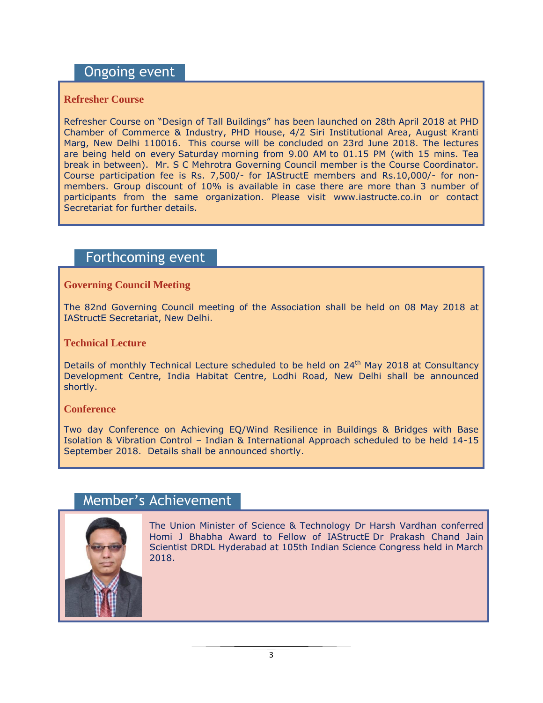## Ongoing event

## **Refresher Course**

Refresher Course on "Design of Tall Buildings" has been launched on 28th April 2018 at PHD Chamber of Commerce & Industry, PHD House, 4/2 Siri Institutional Area, August Kranti Marg, New Delhi 110016. This course will be concluded on 23rd June 2018. The lectures are being held on every Saturday morning from 9.00 AM to 01.15 PM (with 15 mins. Tea break in between). Mr. S C Mehrotra Governing Council member is the Course Coordinator. Course participation fee is Rs. 7,500/- for IAStructE members and Rs.10,000/- for nonmembers. Group discount of 10% is available in case there are more than 3 number of participants from the same organization. Please visit [www.iastructe.co.in](http://www.iastructe.co.in/) or contact Secretariat for further details.

## Forthcoming event

### **Governing Council Meeting**

The 82nd Governing Council meeting of the Association shall be held on 08 May 2018 at IAStructE Secretariat, New Delhi.

### **Technical Lecture**

Details of monthly Technical Lecture scheduled to be held on 24<sup>th</sup> May 2018 at Consultancy Development Centre, India Habitat Centre, Lodhi Road, New Delhi shall be announced shortly.

### **Conference**

Two day Conference on Achieving EQ/Wind Resilience in Buildings & Bridges with Base Isolation & Vibration Control – Indian & International Approach scheduled to be held 14-15 September 2018. Details shall be announced shortly.

## Member's Achievement



The Union Minister of Science & Technology Dr Harsh Vardhan conferred Homi J Bhabha Award to Fellow of IAStructE Dr Prakash Chand Jain Scientist DRDL Hyderabad at 105th Indian Science Congress held in March 2018.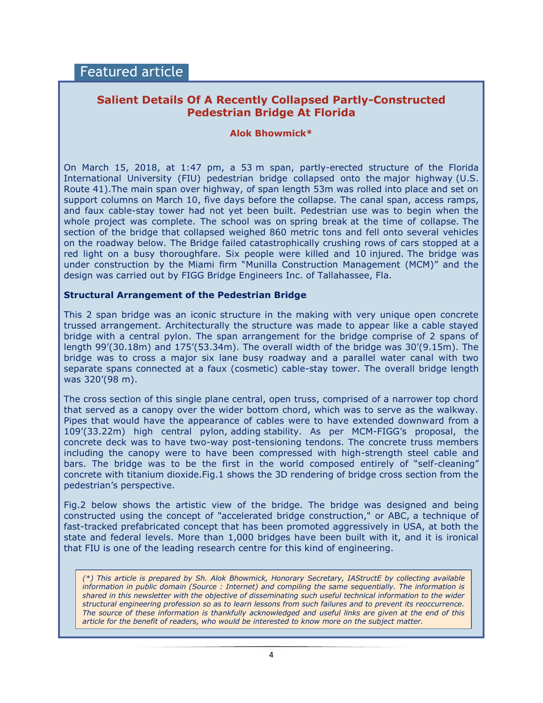## **Salient Details Of A Recently Collapsed Partly-Constructed Pedestrian Bridge At Florida**

### **Alok Bhowmick\***

On March 15, 2018, at 1:47 pm, a 53 m span, partly-erected structure of the Florida International University (FIU) pedestrian bridge collapsed onto the major highway (U.S. Route 41).The main span over highway, of span length 53m was rolled into place and set on support columns on March 10, five days before the collapse. The canal span, access ramps, and faux cable-stay tower had not yet been built. Pedestrian use was to begin when the whole project was complete. The school was on [spring break](https://en.wikipedia.org/wiki/Spring_break) at the time of collapse. The section of the bridge that collapsed weighed 860 metric tons and fell onto several vehicles on the roadway below. The Bridge failed catastrophically crushing rows of cars stopped at a red light on a busy thoroughfare. Six people were killed and 10 injured. The bridge was under construction by the Miami firm "Munilla Construction Management (MCM)" and the design was carried out by FIGG Bridge Engineers Inc. of Tallahassee, Fla.

### **Structural Arrangement of the Pedestrian Bridge**

This 2 span bridge was an iconic structure in the making with very unique open concrete trussed arrangement. Architecturally the structure was made to appear like a cable stayed bridge with a central pylon. The span arrangement for the bridge comprise of 2 spans of length  $99'(30.18m)$  and  $175'(53.34m)$ . The overall width of the bridge was  $30'(9.15m)$ . The bridge was to cross a major six lane busy roadway and a parallel water canal with two separate spans connected at a faux (cosmetic) cable-stay tower. The overall bridge length was 320"(98 m).

The cross section of this single plane central, open truss, comprised of a narrower top chord that served as a canopy over the wider bottom chord, which was to serve as the walkway. Pipes that would have the appearance of cables were to have extended downward from a 109"(33.22m) high central pylon, adding stability. As per MCM-FIGG"s proposal, the concrete deck was to have two-way post-tensioning tendons. The concrete truss members including the canopy were to have been compressed with high-strength steel cable and bars. The bridge was to be the first in the world composed entirely of "self-cleaning" concrete with titanium dioxide.Fig.1 shows the 3D rendering of bridge cross section from the pedestrian's perspective.

Fig.2 below shows the artistic view of the bridge. The bridge was designed and being constructed using the concept of "accelerated bridge construction," or ABC, a technique of fast-tracked prefabricated concept that has been promoted aggressively in USA, at both the state and federal levels. More than 1,000 bridges have been built with it, and it is ironical that FIU is one of the leading research centre for this kind of engineering.

*(\*) This article is prepared by Sh. Alok Bhowmick, Honorary Secretary, IAStructE by collecting available information in public domain (Source : Internet) and compiling the same sequentially. The information is shared in this newsletter with the objective of disseminating such useful technical information to the wider structural engineering profession so as to learn lessons from such failures and to prevent its reoccurrence. The source of these information is thankfully acknowledged and useful links are given at the end of this article for the benefit of readers, who would be interested to know more on the subject matter.*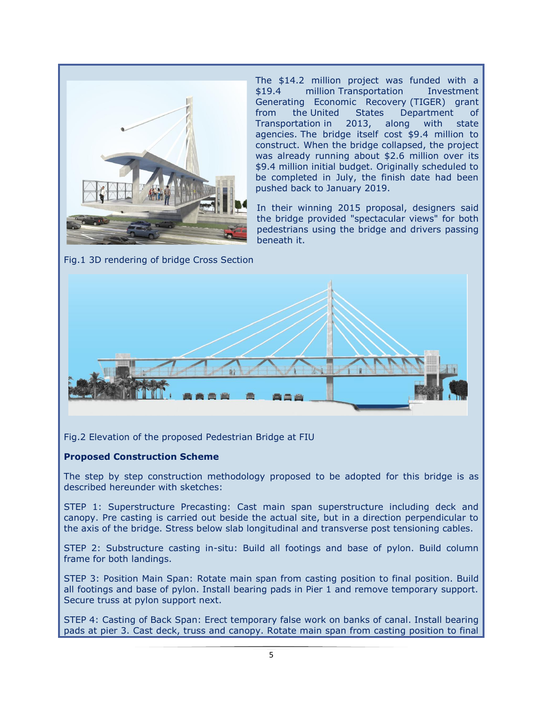

Fig.1 3D rendering of bridge Cross Section

The \$14.2 million project was funded with a \$19.4 million Transportation Investment [Generating Economic Recovery](https://en.wikipedia.org/wiki/Transportation_Investment_Generating_Economic_Recovery) (TIGER) grant from the [United States Department of](https://en.wikipedia.org/wiki/United_States_Department_of_Transportation)  [Transportation](https://en.wikipedia.org/wiki/United_States_Department_of_Transportation) in 2013, along with state agencies. The bridge itself cost \$9.4 million to construct. When the bridge collapsed, the project was already running about \$2.6 million over its \$9.4 million initial budget. Originally scheduled to be completed in July, the finish date had been pushed back to January 2019.

In their winning 2015 proposal, designers said the bridge provided "spectacular views" for both pedestrians using the bridge and drivers passing beneath it.



Fig.2 Elevation of the proposed Pedestrian Bridge at FIU

### **Proposed Construction Scheme**

The step by step construction methodology proposed to be adopted for this bridge is as described hereunder with sketches:

STEP 1: Superstructure Precasting: Cast main span superstructure including deck and canopy. Pre casting is carried out beside the actual site, but in a direction perpendicular to the axis of the bridge. Stress below slab longitudinal and transverse post tensioning cables.

STEP 2: Substructure casting in-situ: Build all footings and base of pylon. Build column frame for both landings.

STEP 3: Position Main Span: Rotate main span from casting position to final position. Build all footings and base of pylon. Install bearing pads in Pier 1 and remove temporary support. Secure truss at pylon support next.

STEP 4: Casting of Back Span: Erect temporary false work on banks of canal. Install bearing pads at pier 3. Cast deck, truss and canopy. Rotate main span from casting position to final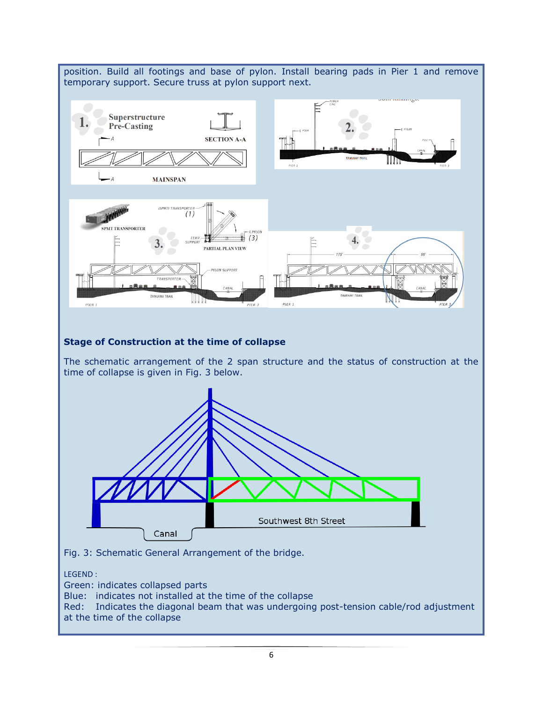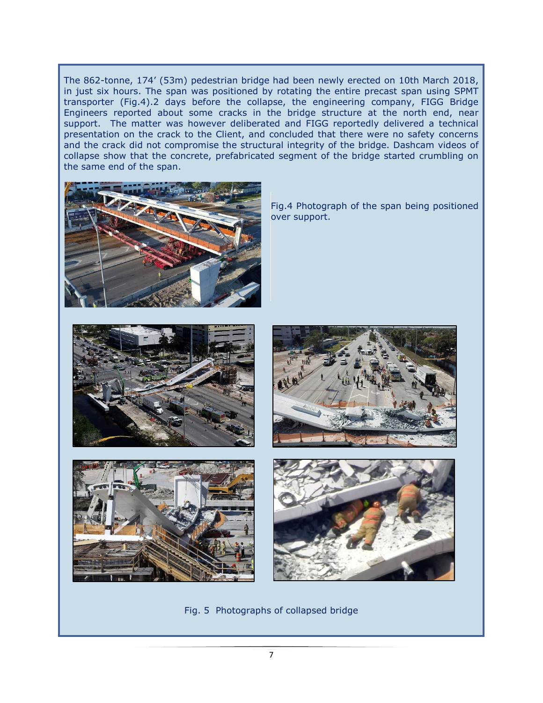The 862-tonne, 174" (53m) pedestrian bridge had been newly erected on 10th March 2018, in just six hours. The span was positioned by rotating the entire precast span using SPMT transporter (Fig.4).2 days before the collapse, the engineering company, FIGG Bridge Engineers reported about some cracks in the bridge structure at the north end, near support. The matter was however deliberated and FIGG reportedly delivered a technical presentation on the crack to the Client, and concluded that there were no safety concerns and the crack did not compromise the structural integrity of the bridge. Dashcam videos of collapse show that the concrete, prefabricated segment of the bridge started crumbling on the same end of the span.



Fig.4 Photograph of the span being positioned over support.









Fig. 5 Photographs of collapsed bridge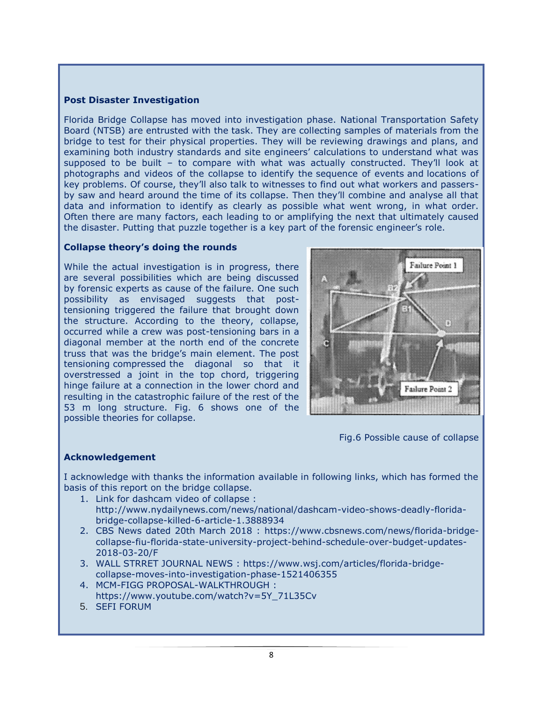### **Post Disaster Investigation**

Florida Bridge Collapse has moved into investigation phase. [National Transportation Safety](http://www.ntsb.gov/)  [Board](http://www.ntsb.gov/) (NTSB) are entrusted with the task. They are collecting samples of materials from the bridge to test for their physical properties. They will be reviewing drawings and plans, and examining both industry standards and site engineers' calculations to understand what was supposed to be built – to compare with what was actually constructed. They"ll look at photographs and videos of the collapse to identify the [sequence of events](https://doi.org/10.1016/S0167-9457(96)00048-6) and [locations of](http://www.photogrammetry.com/)  [key problems](http://www.photogrammetry.com/). Of course, they"ll also talk to witnesses to find out what workers and passersby saw and heard around the time of its collapse. Then they"ll combine and analyse all that data and information to identify as clearly as possible what went wrong, in what order. Often there are many factors, each leading to or amplifying the next that ultimately caused the disaster. Putting that puzzle together is a key part of the forensic engineer"s role.

### **Collapse theory's doing the rounds**

While the actual investigation is in progress, there are several possibilities which are being discussed by forensic experts as cause of the failure. One such possibility as envisaged suggests that posttensioning triggered the failure that brought down the structure. According to the theory, collapse, occurred while a crew was post-tensioning bars in a diagonal member at the north end of the concrete truss that was the bridge"s main element. The post tensioning compressed the diagonal so that it overstressed a joint in the top chord, triggering hinge failure at a connection in the lower chord and resulting in the catastrophic failure of the rest of the 53 m long structure. Fig. 6 shows one of the possible theories for collapse.



Fig.6 Possible cause of collapse

### **Acknowledgement**

I acknowledge with thanks the information available in following links, which has formed the basis of this report on the bridge collapse.

- 1. Link for dashcam video of collapse :
- [http://www.nydailynews.com/news/national/dashcam-video-shows-deadly-florida](http://www.nydailynews.com/news/national/dashcam-video-shows-deadly-florida-bridge-collapse-killed-6-article-1.3888934)[bridge-collapse-killed-6-article-1.3888934](http://www.nydailynews.com/news/national/dashcam-video-shows-deadly-florida-bridge-collapse-killed-6-article-1.3888934)
- 2. CBS News dated 20th March 2018 : [https://www.cbsnews.com/news/florida-bridge](https://www.cbsnews.com/news/florida-bridge-collapse-fiu-florida-state-university-project-behind-schedule-over-budget-updates-2018-03-20/F)[collapse-fiu-florida-state-university-project-behind-schedule-over-budget-updates-](https://www.cbsnews.com/news/florida-bridge-collapse-fiu-florida-state-university-project-behind-schedule-over-budget-updates-2018-03-20/F)[2018-03-20/F](https://www.cbsnews.com/news/florida-bridge-collapse-fiu-florida-state-university-project-behind-schedule-over-budget-updates-2018-03-20/F)
- 3. WALL STRRET JOURNAL NEWS : [https://www.wsj.com/articles/florida-bridge](https://www.wsj.com/articles/florida-bridge-collapse-moves-into-investigation-phase-1521406355)[collapse-moves-into-investigation-phase-1521406355](https://www.wsj.com/articles/florida-bridge-collapse-moves-into-investigation-phase-1521406355)
- 4. MCM-FIGG PROPOSAL-WALKTHROUGH : [https://www.youtube.com/watch?v=5Y\\_71L35Cv](https://www.youtube.com/watch?v=5Y_71L35Cv)
- 5. SEFI FORUM